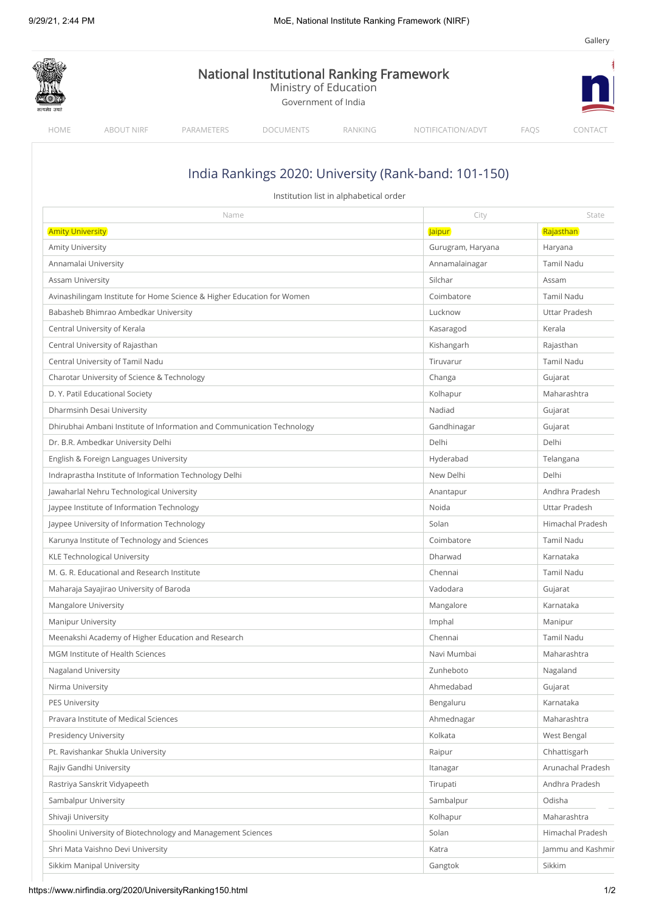[Gallery](https://www.nirfindia.org/GalleryView)

| <b>National Institutional Ranking Framework</b><br>Ministry of Education<br>Government of India |                                              |                                                                        |                  |                                        |                                                      |                   |
|-------------------------------------------------------------------------------------------------|----------------------------------------------|------------------------------------------------------------------------|------------------|----------------------------------------|------------------------------------------------------|-------------------|
| HOME                                                                                            | <b>ABOUT NIRF</b>                            | PARAMETERS                                                             | <b>DOCUMENTS</b> | RANKING                                | NOTIFICATION/ADVT                                    | FAQS<br>CONTACT   |
|                                                                                                 |                                              |                                                                        |                  |                                        |                                                      |                   |
|                                                                                                 |                                              |                                                                        |                  |                                        | India Rankings 2020: University (Rank-band: 101-150) |                   |
|                                                                                                 |                                              |                                                                        |                  | Institution list in alphabetical order |                                                      |                   |
|                                                                                                 |                                              | Name                                                                   |                  |                                        | City                                                 | State             |
| <b>Amity University</b>                                                                         |                                              |                                                                        |                  |                                        | <b>Jaipur</b>                                        | Rajasthan         |
| <b>Amity University</b>                                                                         |                                              |                                                                        |                  |                                        | Gurugram, Haryana                                    | Haryana           |
|                                                                                                 | Annamalai University                         |                                                                        |                  |                                        | Annamalainagar                                       | Tamil Nadu        |
| <b>Assam University</b>                                                                         |                                              |                                                                        |                  |                                        | Silchar                                              | Assam             |
|                                                                                                 |                                              | Avinashilingam Institute for Home Science & Higher Education for Women |                  |                                        | Coimbatore                                           | Tamil Nadu        |
|                                                                                                 | Babasheb Bhimrao Ambedkar University         |                                                                        |                  |                                        | Lucknow                                              | Uttar Pradesh     |
|                                                                                                 | Central University of Kerala                 |                                                                        |                  |                                        | Kasaragod                                            | Kerala            |
|                                                                                                 | Central University of Rajasthan              |                                                                        |                  |                                        | Kishangarh                                           | Rajasthan         |
|                                                                                                 | Central University of Tamil Nadu             |                                                                        |                  |                                        | Tiruvarur                                            | Tamil Nadu        |
|                                                                                                 | Charotar University of Science & Technology  |                                                                        |                  |                                        | Changa                                               | Gujarat           |
|                                                                                                 | D. Y. Patil Educational Society              |                                                                        |                  |                                        | Kolhapur                                             | Maharashtra       |
|                                                                                                 | Dharmsinh Desai University                   |                                                                        |                  |                                        | Nadiad                                               | Gujarat           |
|                                                                                                 |                                              | Dhirubhai Ambani Institute of Information and Communication Technology |                  |                                        | Gandhinagar                                          | Gujarat           |
|                                                                                                 | Dr. B.R. Ambedkar University Delhi           |                                                                        |                  |                                        | Delhi                                                | Delhi             |
|                                                                                                 | English & Foreign Languages University       |                                                                        |                  |                                        | Hyderabad                                            | Telangana         |
|                                                                                                 |                                              | Indraprastha Institute of Information Technology Delhi                 |                  |                                        | New Delhi                                            | Delhi             |
|                                                                                                 | Jawaharlal Nehru Technological University    |                                                                        |                  |                                        | Anantapur                                            | Andhra Pradesh    |
|                                                                                                 | Jaypee Institute of Information Technology   |                                                                        |                  |                                        | Noida                                                | Uttar Pradesh     |
|                                                                                                 | Jaypee University of Information Technology  |                                                                        |                  |                                        | Solan                                                | Himachal Pradesh  |
|                                                                                                 | Karunya Institute of Technology and Sciences |                                                                        |                  |                                        | Coimbatore                                           | <b>Tamil Nadu</b> |
|                                                                                                 | <b>KLE Technological University</b>          |                                                                        |                  |                                        | Dharwad                                              | Karnataka         |
|                                                                                                 | M. G. R. Educational and Research Institute  |                                                                        |                  |                                        | Chennai                                              | Tamil Nadu        |
|                                                                                                 | Maharaja Sayajirao University of Baroda      |                                                                        |                  |                                        | Vadodara                                             | Gujarat           |
|                                                                                                 | Mangalore University                         |                                                                        |                  |                                        | Mangalore                                            | Karnataka         |
| <b>Manipur University</b>                                                                       |                                              |                                                                        |                  |                                        | Imphal                                               | Manipur           |
|                                                                                                 |                                              | Meenakshi Academy of Higher Education and Research                     |                  |                                        | Chennai                                              | Tamil Nadu        |
|                                                                                                 | MGM Institute of Health Sciences             |                                                                        |                  |                                        | Navi Mumbai                                          | Maharashtra       |
| <b>Nagaland University</b>                                                                      |                                              |                                                                        |                  |                                        | Zunheboto                                            | Nagaland          |
| Nirma University                                                                                |                                              |                                                                        |                  |                                        | Ahmedabad                                            | Gujarat           |
| <b>PES University</b>                                                                           |                                              |                                                                        |                  |                                        | Bengaluru                                            | Karnataka         |
|                                                                                                 | Pravara Institute of Medical Sciences        |                                                                        |                  |                                        | Ahmednagar                                           | Maharashtra       |
|                                                                                                 | <b>Presidency University</b>                 |                                                                        |                  |                                        | Kolkata                                              | West Bengal       |
|                                                                                                 | Pt. Ravishankar Shukla University            |                                                                        |                  |                                        | Raipur                                               | Chhattisgarh      |
|                                                                                                 | Rajiv Gandhi University                      |                                                                        |                  |                                        | Itanagar                                             | Arunachal Pradesh |
|                                                                                                 | Rastriya Sanskrit Vidyapeeth                 |                                                                        |                  |                                        | Tirupati                                             | Andhra Pradesh    |
|                                                                                                 | Sambalpur University                         |                                                                        |                  |                                        | Sambalpur                                            | Odisha            |
| Shivaji University                                                                              |                                              |                                                                        |                  |                                        | Kolhapur                                             | Maharashtra       |
|                                                                                                 |                                              |                                                                        |                  |                                        | Solan                                                | Himachal Pradesh  |
|                                                                                                 |                                              | Shoolini University of Biotechnology and Management Sciences           |                  |                                        |                                                      |                   |
|                                                                                                 | Shri Mata Vaishno Devi University            |                                                                        |                  |                                        | Katra                                                | Jammu and Kashmir |